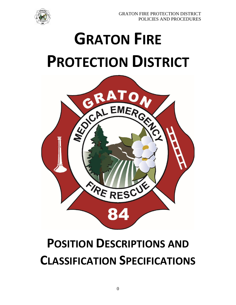

# **GRATON FIRE PROTECTION DISTRICT**



## **POSITION DESCRIPTIONS AND CLASSIFICATION SPECIFICATIONS**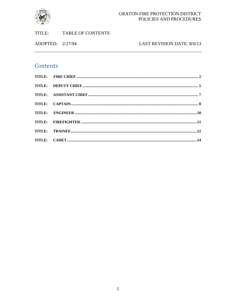

#### GRATON FIRE PROTECTION DISTRICT POLICIES AND PROCEDURES

ADOPTED: 2/27/94

#### LAST REVISION DATE: 8/6/13

### Contents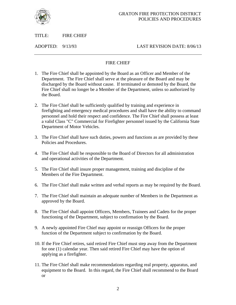

TITLE: FIRE CHIEF

ADOPTED: 9/13/93 LAST REVISION DATE: 8/06/13

#### FIRE CHIEF

- <span id="page-2-0"></span>1. The Fire Chief shall be appointed by the Board as an Officer and Member of the Department. The Fire Chief shall serve at the pleasure of the Board and may be discharged by the Board without cause. If terminated or demoted by the Board, the Fire Chief shall no longer be a Member of the Department, unless so authorized by the Board.
- 2. The Fire Chief shall be sufficiently qualified by training and experience in firefighting and emergency medical procedures and shall have the ability to command personnel and hold their respect and confidence. The Fire Chief shall possess at least a valid Class "C" Commercial for Firefighter personnel issued by the California State Department of Motor Vehicles.
- 3. The Fire Chief shall have such duties, powers and functions as are provided by these Policies and Procedures.
- 4. The Fire Chief shall be responsible to the Board of Directors for all administration and operational activities of the Department.
- 5. The Fire Chief shall insure proper management, training and discipline of the Members of the Fire Department.
- 6. The Fire Chief shall make written and verbal reports as may be required by the Board.
- 7. The Fire Chief shall maintain an adequate number of Members in the Department as approved by the Board.
- 8. The Fire Chief shall appoint Officers, Members, Trainees and Cadets for the proper functioning of the Department, subject to confirmation by the Board.
- 9. A newly appointed Fire Chief may appoint or reassign Officers for the proper function of the Department subject to confirmation by the Board.
- 10. If the Fire Chief retires, said retired Fire Chief must step away from the Department for one (1) calendar year. Then said retired Fire Chief may have the option of applying as a firefighter.
- 11. The Fire Chief shall make recommendations regarding real property, apparatus, and equipment to the Board. In this regard, the Fire Chief shall recommend to the Board or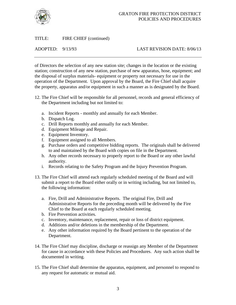

#### TITLE: FIRE CHIEF (continued)

#### ADOPTED: 9/13/93 LAST REVISION DATE: 8/06/13

of Directors the selection of any new station site; changes in the location or the existing station; construction of any new station, purchase of new apparatus, hose, equipment; and the disposal of surplus materials- equipment or property not necessary for use in the operation of the Department. Upon approval by the Board, the Fire Chief shall acquire the property, apparatus and/or equipment in such a manner as is designated by the Board.

- 12. The Fire Chief will be responsible for all personnel, records and general efficiency of the Department including but not limited to:
	- a. Incident Reports monthly and annually for each Member.
	- b. Dispatch Log.
	- c. Drill Reports monthly and annually for each Member.
	- d. Equipment Mileage and Repair.
	- e. Equipment Inventory.
	- f. Equipment assigned to all Members.
	- g. Purchase orders and competitive bidding reports. The originals shall be delivered to and maintained by the Board with copies on file in the Department.
	- h. Any other records necessary to properly report to the Board or any other lawful authority.
	- i. Records relating to the Safety Program and the Injury Prevention Program.
- 13. The Fire Chief will attend each regularly scheduled meeting of the Board and will submit a report to the Board either orally or in writing including, but not limited to, the following information:
	- a. Fire, Drill and Administrative Reports. The original Fire, Drill and Administrative Reports for the preceding month will be delivered by the Fire Chief to the Board at each regularly scheduled meeting.
	- b. Fire Prevention activities.
	- c. Inventory, maintenance, replacement, repair or loss of district equipment.
	- d. Additions and/or deletions in the membership of the Department.
	- e. Any other information required by the Board pertinent to the operation of the Department.
- 14. The Fire Chief may discipline, discharge or reassign any Member of the Department for cause in accordance with these Policies and Procedures. Any such action shall be documented in writing.
- 15. The Fire Chief shall determine the apparatus, equipment, and personnel to respond to any request for automatic or mutual aid.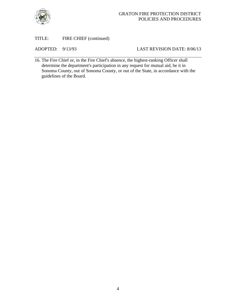

#### TITLE: FIRE CHIEF (continued)

#### ADOPTED:  $9/13/93$  LAST REVISION DATE: 8/06/13

16. The Fire Chief or, in the Fire Chief's absence, the highest-ranking Officer shall determine the department's participation in any request for mutual aid, be it in Sonoma County, out of Sonoma County, or out of the State, in accordance with the guidelines of the Board.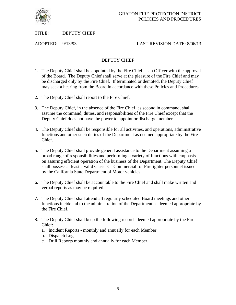

#### <span id="page-5-0"></span>TITLE: DEPUTY CHIEF

ADOPTED: 9/13/93 LAST REVISION DATE: 8/06/13

#### DEPUTY CHIEF

- 1. The Deputy Chief shall be appointed by the Fire Chief as an Officer with the approval of the Board. The Deputy Chief shall serve at the pleasure of the Fire Chief and may be discharged only by the Fire Chief. If terminated or demoted, the Deputy Chief may seek a hearing from the Board in accordance with these Policies and Procedures.
- 2. The Deputy Chief shall report to the Fire Chief.
- 3. The Deputy Chief, in the absence of the Fire Chief, as second in command, shall assume the command, duties, and responsibilities of the Fire Chief except that the Deputy Chief does not have the power to appoint or discharge members.
- 4. The Deputy Chief shall be responsible for all activities, and operations, administrative functions and other such duties of the Department as deemed appropriate by the Fire Chief.
- 5. The Deputy Chief shall provide general assistance to the Department assuming a broad range of responsibilities and performing a variety of functions with emphasis on assuring efficient operation of the business of the Department. The Deputy Chief shall possess at least a valid Class "C" Commercial for Firefighter personnel issued by the California State Department of Motor vehicles.
- 6. The Deputy Chief shall be accountable to the Fire Chief and shall make written and verbal reports as may be required.
- 7. The Deputy Chief shall attend all regularly scheduled Board meetings and other functions incidental to the administration of the Department as deemed appropriate by the Fire Chief.
- 8. The Deputy Chief shall keep the following records deemed appropriate by the Fire Chief:
	- a. Incident Reports monthly and annually for each Member.
	- b. Dispatch Log.
	- c. Drill Reports monthly and annually for each Member.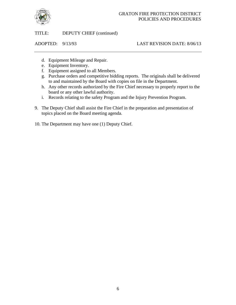

TITLE: DEPUTY CHIEF (continued)

#### ADOPTED: 9/13/93 LAST REVISION DATE: 8/06/13

- d. Equipment Mileage and Repair.
- e. Equipment Inventory.
- f. Equipment assigned to all Members.
- g. Purchase orders and competitive bidding reports. The originals shall be delivered to and maintained by the Board with copies on file in the Department.
- h. Any other records authorized by the Fire Chief necessary to properly report to the board or any other lawful authority.
- i. Records relating to the safety Program and the Injury Prevention Program.
- 9. The Deputy Chief shall assist the Fire Chief in the preparation and presentation of topics placed on the Board meeting agenda.
- 10. The Department may have one (1) Deputy Chief.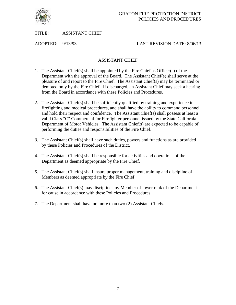

<span id="page-7-0"></span>TITLE: ASSISTANT CHIEF

ADOPTED: 9/13/93 LAST REVISION DATE: 8/06/13

#### ASSISTANT CHIEF

- 1. The Assistant Chief(s) shall be appointed by the Fire Chief as Officer(s) of the Department with the approval of the Board. The Assistant Chief(s) shall serve at the pleasure of and report to the Fire Chief. The Assistant Chief(s) may be terminated or demoted only by the Fire Chief. If discharged, an Assistant Chief may seek a hearing from the Board in accordance with these Policies and Procedures.
- 2. The Assistant Chief(s) shall be sufficiently qualified by training and experience in firefighting and medical procedures, and shall have the ability to command personnel and hold their respect and confidence. The Assistant Chief(s) shall possess at least a valid Class "C" Commercial for Firefighter personnel issued by the State California Department of Motor Vehicles. The Assistant Chief(s) are expected to be capable of performing the duties and responsibilities of the Fire Chief.
- 3. The Assistant Chief(s) shall have such duties, powers and functions as are provided by these Policies and Procedures of the District.
- 4. The Assistant Chief(s) shall be responsible for activities and operations of the Department as deemed appropriate by the Fire Chief.
- 5. The Assistant Chief(s) shall insure proper management, training and discipline of Members as deemed appropriate by the Fire Chief.
- 6. The Assistant Chief(s) may discipline any Member of lower rank of the Department for cause in accordance with these Policies and Procedures.
- 7. The Department shall have no more than two (2) Assistant Chiefs.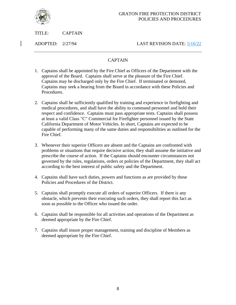

<span id="page-8-0"></span>TITLE: CAPTAIN

ADOPTED: 2/27/94 LAST REVISION DATE: 5/16/22

#### CAPTAIN

- 1. Captains shall be appointed by the Fire Chief as Officers of the Department with the approval of the Board. Captains shall serve at the pleasure of the Fire Chief. Captains may be discharged only by the Fire Chief. If terminated or demoted, Captains may seek a hearing from the Board in accordance with these Policies and Procedures.
- 2. Captains shall be sufficiently qualified by training and experience in firefighting and medical procedures, and shall have the ability to command personnel and hold their respect and confidence. Captains must pass appropriate tests. Captains shall possess at least a valid Class "C" Commercial for Firefighter personnel issued by the State California Department of Motor Vehicles. In short, Captains are expected to be capable of performing many of the same duties and responsibilities as outlined for the Fire Chief.
- 3. Whenever their superior Officers are absent and the Captains are confronted with problems or situations that require decisive action, they shall assume the initiative and prescribe the course of action. If the Captains should encounter circumstances not governed by the rules, regulations, orders or policies of the Department, they shall act according to the best interest of public safety and the Department.
- 4. Captains shall have such duties, powers and functions as are provided by these Policies and Procedures of the District.
- 5. Captains shall promptly execute all orders of superior Officers. If there is any obstacle, which prevents their executing such orders, they shall report this fact as soon as possible to the Officer who issued the order.
- 6. Captains shall be responsible for all activities and operations of the Department as deemed appropriate by the Fire Chief.
- 7. Captains shall insure proper management, training and discipline of Members as deemed appropriate by the Fire Chief.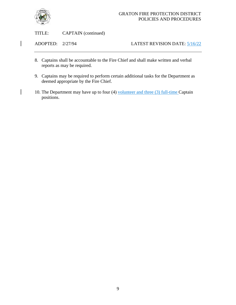

 $\overline{\phantom{a}}$ 

#### GRATON FIRE PROTECTION DISTRICT POLICIES AND PROCEDURES

TITLE: CAPTAIN (continued)

ADOPTED: 2/27/94 LATEST REVISION DATE: 5/16/22

- 8. Captains shall be accountable to the Fire Chief and shall make written and verbal reports as may be required.
- 9. Captains may be required to perform certain additional tasks for the Department as deemed appropriate by the Fire Chief.
- 10. The Department may have up to four (4) volunteer and three (3) full-time Captain positions.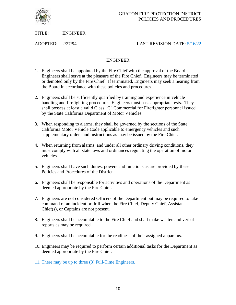

TITLE: ENGINEER

ADOPTED: 2/27/94 LAST REVISION DATE: 5/16/22

#### ENGINEER

- <span id="page-10-0"></span>1. Engineers shall be appointed by the Fire Chief with the approval of the Board. Engineers shall serve at the pleasure of the Fire Chief. Engineers may be terminated or demoted only by the Fire Chief. If terminated, Engineers may seek a hearing from the Board in accordance with these policies and procedures.
- 2. Engineers shall be sufficiently qualified by training and experience in vehicle handling and firefighting procedures. Engineers must pass appropriate tests. They shall possess at least a valid Class "C" Commercial for Firefighter personnel issued by the State California Department of Motor Vehicles.
- 3. When responding to alarms, they shall be governed by the sections of the State California Motor Vehicle Code applicable to emergency vehicles and such supplementary orders and instructions as may be issued by the Fire Chief.
- 4. When returning from alarms, and under all other ordinary driving conditions, they must comply with all state laws and ordinances regulating the operation of motor vehicles.
- 5. Engineers shall have such duties, powers and functions as are provided by these Policies and Procedures of the District.
- 6. Engineers shall be responsible for activities and operations of the Department as deemed appropriate by the Fire Chief.
- 7. Engineers are not considered Officers of the Department but may be required to take command of an incident or drill when the Fire Chief, Deputy Chief, Assistant Chief(s), or Captains are not present.
- 8. Engineers shall be accountable to the Fire Chief and shall make written and verbal reports as may be required.
- 9. Engineers shall be accountable for the readiness of their assigned apparatus.
- 10. Engineers may be required to perform certain additional tasks for the Department as deemed appropriate by the Fire Chief.
- 11. There may be up to three (3) Full-Time Engineers.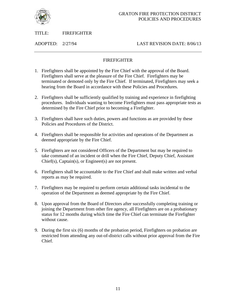

<span id="page-11-0"></span>TITLE: FIREFIGHTER

ADOPTED: 2/27/94 LAST REVISION DATE: 8/06/13

#### FIREFIGHTER

- 1. Firefighters shall be appointed by the Fire Chief with the approval of the Board. Firefighters shall serve at the pleasure of the Fire Chief. Firefighters may be terminated or demoted only by the Fire Chief. If terminated, Firefighters may seek a hearing from the Board in accordance with these Policies and Procedures.
- 2. Firefighters shall be sufficiently qualified by training and experience in firefighting procedures. Individuals wanting to become Firefighters must pass appropriate tests as determined by the Fire Chief prior to becoming a Firefighter.
- 3. Firefighters shall have such duties, powers and functions as are provided by these Policies and Procedures of the District.
- 4. Firefighters shall be responsible for activities and operations of the Department as deemed appropriate by the Fire Chief.
- 5. Firefighters are not considered Officers of the Department but may be required to take command of an incident or drill when the Fire Chief, Deputy Chief, Assistant Chief(s), Captain(s), or Engineer(s) are not present.
- 6. Firefighters shall be accountable to the Fire Chief and shall make written and verbal reports as may be required.
- 7. Firefighters may be required to perform certain additional tasks incidental to the operation of the Department as deemed appropriate by the Fire Chief.
- 8. Upon approval from the Board of Directors after successfully completing training or joining the Department from other fire agency, all Firefighters are on a probationary status for 12 months during which time the Fire Chief can terminate the Firefighter without cause.
- 9. During the first six (6) months of the probation period, Firefighters on probation are restricted from attending any out-of-district calls without prior approval from the Fire Chief.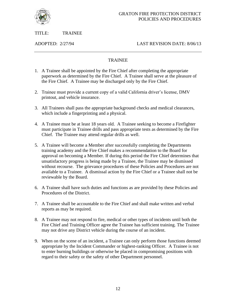

<span id="page-12-0"></span>TITLE: TRAINEE

ADOPTED: 2/27/94 LAST REVISION DATE: 8/06/13

#### **TRAINEE**

- 1. A Trainee shall be appointed by the Fire Chief after completing the appropriate paperwork as determined by the Fire Chief. A Trainee shall serve at the pleasure of the Fire Chief. A Trainee may be discharged only by the Fire Chief.
- 2. Trainee must provide a current copy of a valid California driver's license, DMV printout, and vehicle insurance.
- 3. All Trainees shall pass the appropriate background checks and medical clearances, which include a fingerprinting and a physical.
- 4. A Trainee must be at least 18 years old. A Trainee seeking to become a Firefighter must participate in Trainee drills and pass appropriate tests as determined by the Fire Chief. The Trainee may attend regular drills as well.
- 5. A Trainee will become a Member after successfully completing the Departments training academy and the Fire Chief makes a recommendation to the Board for approval on becoming a Member. If during this period the Fire Chief determines that unsatisfactory progress is being made by a Trainee, the Trainee may be dismissed without recourse. The grievance procedures of these Policies and Procedures are not available to a Trainee. A dismissal action by the Fire Chief or a Trainee shall not be reviewable by the Board.
- 6. A Trainee shall have such duties and functions as are provided by these Policies and Procedures of the District.
- 7. A Trainee shall be accountable to the Fire Chief and shall make written and verbal reports as may be required.
- 8. A Trainee may not respond to fire, medical or other types of incidents until both the Fire Chief and Training Officer agree the Trainee has sufficient training. The Trainee may not drive any District vehicle during the course of an incident.
- 9. When on the scene of an incident, a Trainee can only perform those functions deemed appropriate by the Incident Commander or highest-ranking Officer. A Trainee is not to enter burning buildings or otherwise be placed in compromising positions with regard to their safety or the safety of other Department personnel.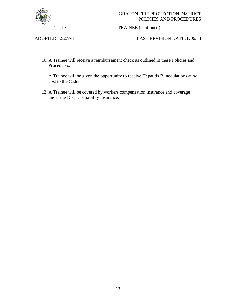

#### GRATON FIRE PROTECTION DISTRICT POLICIES AND PROCEDURES

TITLE: TRAINEE (continued)

ADOPTED: 2/27/94 LAST REVISION DATE: 8/06/13

- 10. A Trainee will receive a reimbursement check as outlined in these Policies and Procedures.
- 11. A Trainee will be given the opportunity to receive Hepatitis B inoculations at no cost to the Cadet.
- 12. A Trainee will be covered by workers compensation insurance and coverage under the District's liability insurance.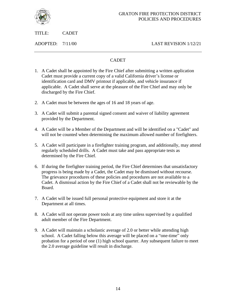

<span id="page-14-0"></span>TITLE: CADET

ADOPTED: 7/11/00 LAST REVISION 1/12/21

#### CADET

- 1. A Cadet shall be appointed by the Fire Chief after submitting a written application Cadet must provide a current copy of a valid California driver's license or identification card and DMV printout if applicable, and vehicle insurance if applicable. A Cadet shall serve at the pleasure of the Fire Chief and may only be discharged by the Fire Chief.
- 2. A Cadet must be between the ages of 16 and 18 years of age.
- 3. A Cadet will submit a parental signed consent and waiver of liability agreement provided by the Department.
- 4. A Cadet will be a Member of the Department and will be identified on a "Cadet" and will not be counted when determining the maximum allowed number of firefighters.
- 5. A Cadet will participate in a firefighter training program, and additionally, may attend regularly scheduled drills. A Cadet must take and pass appropriate tests as determined by the Fire Chief.
- 6. If during the firefighter training period, the Fire Chief determines that unsatisfactory progress is being made by a Cadet, the Cadet may be dismissed without recourse. The grievance procedures of these policies and procedures are not available to a Cadet. A dismissal action by the Fire Chief of a Cadet shall not be reviewable by the Board.
- 7. A Cadet will be issued full personal protective equipment and store it at the Department at all times.
- 8. A Cadet will not operate power tools at any time unless supervised by a qualified adult member of the Fire Department.
- 9. A Cadet will maintain a scholastic average of 2.0 or better while attending high school. A Cadet falling below this average will be placed on a "one-time" only probation for a period of one (1) high school quarter. Any subsequent failure to meet the 2.0 average guideline will result in discharge.